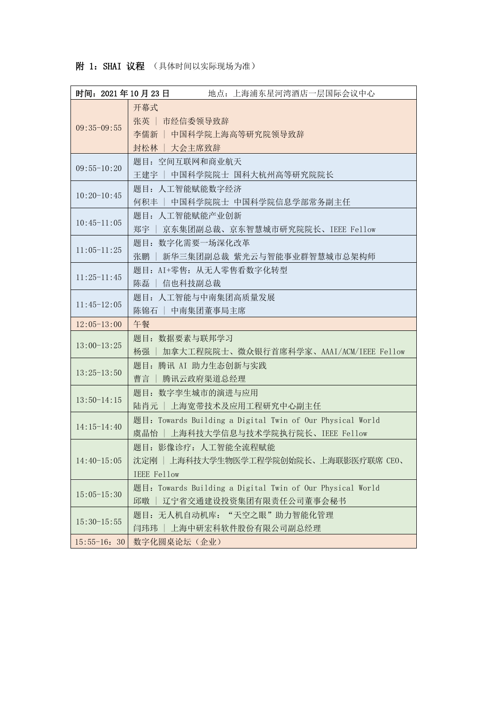## 附 1: SHAI 议程 (具体时间以实际现场为准)

| 时间: 2021年10月23日 | 地点: 上海浦东星河湾酒店一层国际会议中心                                                                             |
|-----------------|---------------------------------------------------------------------------------------------------|
| $09:35-09:55$   | 开幕式<br>张英   市经信委领导致辞<br>李儒新   中国科学院上海高等研究院领导致辞<br>封松林   大会主席致辞                                    |
| $09:55-10:20$   | 题目: 空间互联网和商业航天<br>王建宇   中国科学院院士 国科大杭州高等研究院院长                                                      |
| $10:20-10:45$   | 题目: 人工智能赋能数字经济<br>何积丰   中国科学院院士 中国科学院信息学部常务副主任                                                    |
| $10:45-11:05$   | 题目: 人工智能赋能产业创新<br>郑宇   京东集团副总裁、京东智慧城市研究院院长、IEEE Fellow                                            |
| $11:05-11:25$   | 题目: 数字化需要一场深化改革<br>张鹏   新华三集团副总裁 紫光云与智能事业群智慧城市总架构师                                                |
| $11:25-11:45$   | 题目: AI+零售: 从无人零售看数字化转型<br>陈磊   信也科技副总裁                                                            |
| $11:45-12:05$   | 题目: 人工智能与中南集团高质量发展<br>陈锦石   中南集团董事局主席                                                             |
|                 |                                                                                                   |
| $12:05-13:00$   | 午餐                                                                                                |
| $13:00-13:25$   | 题目: 数据要素与联邦学习<br>杨强   加拿大工程院院士、微众银行首席科学家、AAAI/ACM/IEEE Fellow                                     |
| $13:25 - 13:50$ | 题目: 腾讯 AI 助力生态创新与实践<br>曹言   腾讯云政府渠道总经理                                                            |
| $13:50-14:15$   | 题目: 数字孪生城市的演进与应用<br>陆肖元   上海宽带技术及应用工程研究中心副主任                                                      |
| $14:15-14:40$   | 题目: Towards Building a Digital Twin of Our Physical World<br>上海科技大学信息与技术学院执行院长、IEEE Fellow<br>虞晶怡 |
| $14:40-15:05$   | 题目: 影像诊疗: 人工智能全流程赋能<br>沈定刚   上海科技大学生物医学工程学院创始院长、上海联影医疗联席 CEO、<br>IEEE Fellow                      |
| $15:05 - 15:30$ | 题目: Towards Building a Digital Twin of Our Physical World<br>邱暾<br>辽宁省交通建设投资集团有限责任公司董事会秘书         |
| $15:30-15:55$   | 题目: 无人机自动机库: "天空之眼"助力智能化管理<br>上海中研宏科软件股份有限公司副总经理<br>闫玮玮                                           |